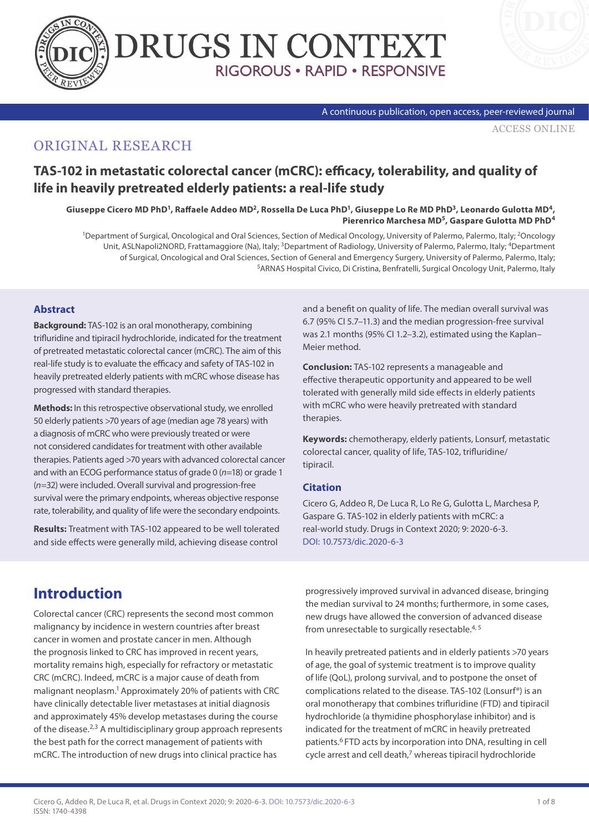



#### A continuous publication, open access, peer-reviewed journal

[ACCESS ONLINE](https://www.drugsincontext.com/tas-102-in-metastatic-colorectal-cancer-mcrc-efficacy-tolerability-and-quality-of-life-in-heavily-pretreated-elderly-patients-a-real-life-study)

# ORIGINAL RESEARCH

# **TAS-102 in metastatic colorectal cancer (mCRC): efficacy, tolerability, and quality of life in heavily pretreated elderly patients: a real-life study**

Giuseppe Cicero MD PhD<sup>1</sup>, Raffaele Addeo MD<sup>2</sup>, Rossella De Luca PhD<sup>1</sup>, Giuseppe Lo Re MD PhD<sup>3</sup>, Leonardo Gulotta MD<sup>4</sup>, **Pierenrico Marchesa MD5, Gaspare Gulotta MD PhD4**

1Department of Surgical, Oncological and Oral Sciences, Section of Medical Oncology, University of Palermo, Palermo, Italy; 2Oncology Unit, ASLNapoli2NORD, Frattamaggiore (Na), Italy; 3Department of Radiology, University of Palermo, Palermo, Italy; 4Department of Surgical, Oncological and Oral Sciences, Section of General and Emergency Surgery, University of Palermo, Palermo, Italy; 5ARNAS Hospital Civico, Di Cristina, Benfratelli, Surgical Oncology Unit, Palermo, Italy

#### **Abstract**

**Background:** TAS-102 is an oral monotherapy, combining trifluridine and tipiracil hydrochloride, indicated for the treatment of pretreated metastatic colorectal cancer (mCRC). The aim of this real-life study is to evaluate the efficacy and safety of TAS-102 in heavily pretreated elderly patients with mCRC whose disease has progressed with standard therapies.

**Methods:** In this retrospective observational study, we enrolled 50 elderly patients >70 years of age (median age 78 years) with a diagnosis of mCRC who were previously treated or were not considered candidates for treatment with other available therapies. Patients aged >70 years with advanced colorectal cancer and with an ECOG performance status of grade 0 (*n*=18) or grade 1 (*n*=32) were included. Overall survival and progression-free survival were the primary endpoints, whereas objective response rate, tolerability, and quality of life were the secondary endpoints.

**Results:** Treatment with TAS-102 appeared to be well tolerated and side effects were generally mild, achieving disease control

and a benefit on quality of life. The median overall survival was 6.7 (95% CI 5.7–11.3) and the median progression-free survival was 2.1 months (95% CI 1.2–3.2), estimated using the Kaplan– Meier method.

**Conclusion:** TAS-102 represents a manageable and effective therapeutic opportunity and appeared to be well tolerated with generally mild side effects in elderly patients with mCRC who were heavily pretreated with standard therapies.

**Keywords:** chemotherapy, elderly patients, Lonsurf, metastatic colorectal cancer, quality of life, TAS-102, trifluridine/ tipiracil.

#### **Citation**

Cicero G, Addeo R, De Luca R, Lo Re G, Gulotta L, Marchesa P, Gaspare G. TAS-102 in elderly patients with mCRC: a real-world study. Drugs in Context 2020; 9: 2020-6-3. [DOI: 10.7573/dic.2020-6-3](http://doi.org/10.7573/dic.2020-6-3)

# **Introduction**

Colorectal cancer (CRC) represents the second most common malignancy by incidence in western countries after breast cancer in women and prostate cancer in men. Although the prognosis linked to CRC has improved in recent years, mortality remains high, especially for refractory or metastatic CRC (mCRC). Indeed, mCRC is a major cause of death from malignant neoplasm.1 Approximately 20% of patients with CRC have clinically detectable liver metastases at initial diagnosis and approximately 45% develop metastases during the course of the disease. $2,3$  A multidisciplinary group approach represents the best path for the correct management of patients with mCRC. The introduction of new drugs into clinical practice has

progressively improved survival in advanced disease, bringing the median survival to 24 months; furthermore, in some cases, new drugs have allowed the conversion of advanced disease from unresectable to surgically resectable.4, 5

In heavily pretreated patients and in elderly patients >70 years of age, the goal of systemic treatment is to improve quality of life (QoL), prolong survival, and to postpone the onset of complications related to the disease. TAS-102 (Lonsurf®) is an oral monotherapy that combines trifluridine (FTD) and tipiracil hydrochloride (a thymidine phosphorylase inhibitor) and is indicated for the treatment of mCRC in heavily pretreated patients.6 FTD acts by incorporation into DNA, resulting in cell cycle arrest and cell death,7 whereas tipiracil hydrochloride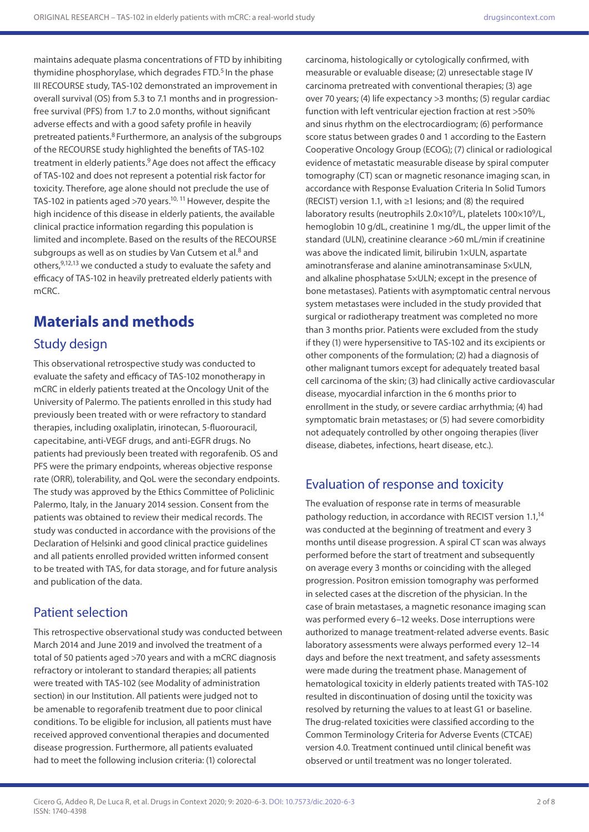maintains adequate plasma concentrations of FTD by inhibiting thymidine phosphorylase, which degrades FTD.<sup>5</sup> In the phase III RECOURSE study, TAS-102 demonstrated an improvement in overall survival (OS) from 5.3 to 7.1 months and in progressionfree survival (PFS) from 1.7 to 2.0 months, without significant adverse effects and with a good safety profile in heavily pretreated patients.8 Furthermore, an analysis of the subgroups of the RECOURSE study highlighted the benefits of TAS-102 treatment in elderly patients.<sup>9</sup> Age does not affect the efficacy of TAS-102 and does not represent a potential risk factor for toxicity. Therefore, age alone should not preclude the use of TAS-102 in patients aged >70 years.<sup>10, 11</sup> However, despite the high incidence of this disease in elderly patients, the available clinical practice information regarding this population is limited and incomplete. Based on the results of the RECOURSE subgroups as well as on studies by Van Cutsem et al.<sup>8</sup> and others,9,12,13 we conducted a study to evaluate the safety and efficacy of TAS-102 in heavily pretreated elderly patients with mCRC.

# **Materials and methods**

# Study design

This observational retrospective study was conducted to evaluate the safety and efficacy of TAS-102 monotherapy in mCRC in elderly patients treated at the Oncology Unit of the University of Palermo. The patients enrolled in this study had previously been treated with or were refractory to standard therapies, including oxaliplatin, irinotecan, 5-fluorouracil, capecitabine, anti-VEGF drugs, and anti-EGFR drugs. No patients had previously been treated with regorafenib. OS and PFS were the primary endpoints, whereas objective response rate (ORR), tolerability, and QoL were the secondary endpoints. The study was approved by the Ethics Committee of Policlinic Palermo, Italy, in the January 2014 session. Consent from the patients was obtained to review their medical records. The study was conducted in accordance with the provisions of the Declaration of Helsinki and good clinical practice guidelines and all patients enrolled provided written informed consent to be treated with TAS, for data storage, and for future analysis and publication of the data.

# Patient selection

This retrospective observational study was conducted between March 2014 and June 2019 and involved the treatment of a total of 50 patients aged >70 years and with a mCRC diagnosis refractory or intolerant to standard therapies; all patients were treated with TAS-102 (see Modality of administration section) in our Institution. All patients were judged not to be amenable to regorafenib treatment due to poor clinical conditions. To be eligible for inclusion, all patients must have received approved conventional therapies and documented disease progression. Furthermore, all patients evaluated had to meet the following inclusion criteria: (1) colorectal

carcinoma, histologically or cytologically confirmed, with measurable or evaluable disease; (2) unresectable stage IV carcinoma pretreated with conventional therapies; (3) age over 70 years; (4) life expectancy >3 months; (5) regular cardiac function with left ventricular ejection fraction at rest >50% and sinus rhythm on the electrocardiogram; (6) performance score status between grades 0 and 1 according to the Eastern Cooperative Oncology Group (ECOG); (7) clinical or radiological evidence of metastatic measurable disease by spiral computer tomography (CT) scan or magnetic resonance imaging scan, in accordance with Response Evaluation Criteria In Solid Tumors (RECIST) version 1.1, with ≥1 lesions; and (8) the required laboratory results (neutrophils  $2.0\times10^9$ /L, platelets  $100\times10^9$ /L, hemoglobin 10 g/dL, creatinine 1 mg/dL, the upper limit of the standard (ULN), creatinine clearance >60 mL/min if creatinine was above the indicated limit, bilirubin 1×ULN, aspartate aminotransferase and alanine aminotransaminase 5×ULN, and alkaline phosphatase 5×ULN; except in the presence of bone metastases). Patients with asymptomatic central nervous system metastases were included in the study provided that surgical or radiotherapy treatment was completed no more than 3 months prior. Patients were excluded from the study if they (1) were hypersensitive to TAS-102 and its excipients or other components of the formulation; (2) had a diagnosis of other malignant tumors except for adequately treated basal cell carcinoma of the skin; (3) had clinically active cardiovascular disease, myocardial infarction in the 6 months prior to enrollment in the study, or severe cardiac arrhythmia; (4) had symptomatic brain metastases; or (5) had severe comorbidity not adequately controlled by other ongoing therapies (liver disease, diabetes, infections, heart disease, etc.).

# Evaluation of response and toxicity

The evaluation of response rate in terms of measurable pathology reduction, in accordance with RECIST version 1.1,<sup>14</sup> was conducted at the beginning of treatment and every 3 months until disease progression. A spiral CT scan was always performed before the start of treatment and subsequently on average every 3 months or coinciding with the alleged progression. Positron emission tomography was performed in selected cases at the discretion of the physician. In the case of brain metastases, a magnetic resonance imaging scan was performed every 6–12 weeks. Dose interruptions were authorized to manage treatment-related adverse events. Basic laboratory assessments were always performed every 12–14 days and before the next treatment, and safety assessments were made during the treatment phase. Management of hematological toxicity in elderly patients treated with TAS-102 resulted in discontinuation of dosing until the toxicity was resolved by returning the values to at least G1 or baseline. The drug-related toxicities were classified according to the Common Terminology Criteria for Adverse Events (CTCAE) version 4.0. Treatment continued until clinical benefit was observed or until treatment was no longer tolerated.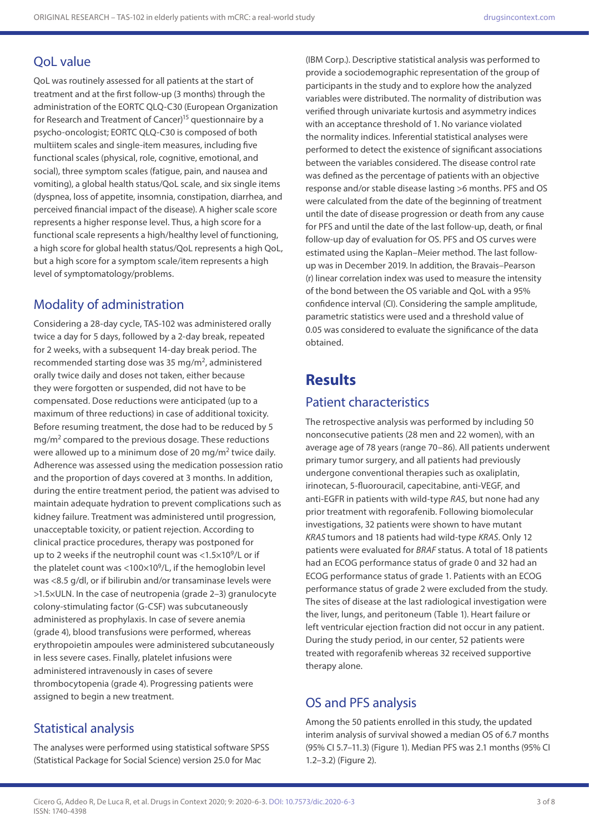### QoL value

QoL was routinely assessed for all patients at the start of treatment and at the first follow-up (3 months) through the administration of the EORTC QLQ-C30 (European Organization for Research and Treatment of Cancer)<sup>15</sup> questionnaire by a psycho-oncologist; EORTC QLQ-C30 is composed of both multiitem scales and single-item measures, including five functional scales (physical, role, cognitive, emotional, and social), three symptom scales (fatigue, pain, and nausea and vomiting), a global health status/QoL scale, and six single items (dyspnea, loss of appetite, insomnia, constipation, diarrhea, and perceived financial impact of the disease). A higher scale score represents a higher response level. Thus, a high score for a functional scale represents a high/healthy level of functioning, a high score for global health status/QoL represents a high QoL, but a high score for a symptom scale/item represents a high level of symptomatology/problems.

### Modality of administration

Considering a 28-day cycle, TAS-102 was administered orally twice a day for 5 days, followed by a 2-day break, repeated for 2 weeks, with a subsequent 14-day break period. The recommended starting dose was 35 mg/m2, administered orally twice daily and doses not taken, either because they were forgotten or suspended, did not have to be compensated. Dose reductions were anticipated (up to a maximum of three reductions) in case of additional toxicity. Before resuming treatment, the dose had to be reduced by 5 mg/m2 compared to the previous dosage. These reductions were allowed up to a minimum dose of 20 mg/m2 twice daily. Adherence was assessed using the medication possession ratio and the proportion of days covered at 3 months. In addition, during the entire treatment period, the patient was advised to maintain adequate hydration to prevent complications such as kidney failure. Treatment was administered until progression, unacceptable toxicity, or patient rejection. According to clinical practice procedures, therapy was postponed for up to 2 weeks if the neutrophil count was < $1.5 \times 10^9$ /L or if the platelet count was <100 $\times$ 10 $^{9}$ /L, if the hemoglobin level was <8.5 g/dl, or if bilirubin and/or transaminase levels were >1.5×ULN. In the case of neutropenia (grade 2–3) granulocyte colony-stimulating factor (G-CSF) was subcutaneously administered as prophylaxis. In case of severe anemia (grade 4), blood transfusions were performed, whereas erythropoietin ampoules were administered subcutaneously in less severe cases. Finally, platelet infusions were administered intravenously in cases of severe thrombocytopenia (grade 4). Progressing patients were assigned to begin a new treatment.

# Statistical analysis

The analyses were performed using statistical software SPSS (Statistical Package for Social Science) version 25.0 for Mac

(IBM Corp.). Descriptive statistical analysis was performed to provide a sociodemographic representation of the group of participants in the study and to explore how the analyzed variables were distributed. The normality of distribution was verified through univariate kurtosis and asymmetry indices with an acceptance threshold of 1. No variance violated the normality indices. Inferential statistical analyses were performed to detect the existence of significant associations between the variables considered. The disease control rate was defined as the percentage of patients with an objective response and/or stable disease lasting >6 months. PFS and OS were calculated from the date of the beginning of treatment until the date of disease progression or death from any cause for PFS and until the date of the last follow-up, death, or final follow-up day of evaluation for OS. PFS and OS curves were estimated using the Kaplan–Meier method. The last followup was in December 2019. In addition, the Bravais–Pearson (r) linear correlation index was used to measure the intensity of the bond between the OS variable and QoL with a 95% confidence interval (CI). Considering the sample amplitude, parametric statistics were used and a threshold value of 0.05 was considered to evaluate the significance of the data obtained.

# **Results**

### Patient characteristics

The retrospective analysis was performed by including 50 nonconsecutive patients (28 men and 22 women), with an average age of 78 years (range 70–86). All patients underwent primary tumor surgery, and all patients had previously undergone conventional therapies such as oxaliplatin, irinotecan, 5-fluorouracil, capecitabine, anti-VEGF, and anti-EGFR in patients with wild-type *RAS*, but none had any prior treatment with regorafenib. Following biomolecular investigations, 32 patients were shown to have mutant *KRAS* tumors and 18 patients had wild-type *KRAS*. Only 12 patients were evaluated for *BRAF* status. A total of 18 patients had an ECOG performance status of grade 0 and 32 had an ECOG performance status of grade 1. Patients with an ECOG performance status of grade 2 were excluded from the study. The sites of disease at the last radiological investigation were the liver, lungs, and peritoneum (Table 1). Heart failure or left ventricular ejection fraction did not occur in any patient. During the study period, in our center, 52 patients were treated with regorafenib whereas 32 received supportive therapy alone.

### OS and PFS analysis

Among the 50 patients enrolled in this study, the updated interim analysis of survival showed a median OS of 6.7 months (95% CI 5.7–11.3) (Figure 1). Median PFS was 2.1 months (95% CI 1.2–3.2) (Figure 2).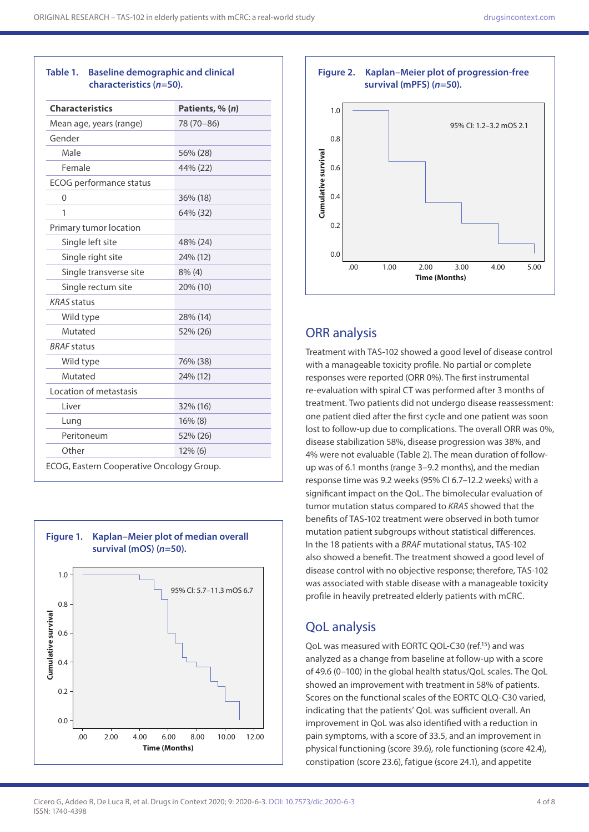| <b>Characteristics</b>         | Patients, % (n) |
|--------------------------------|-----------------|
| Mean age, years (range)        | 78 (70-86)      |
| Gender                         |                 |
| Male                           | 56% (28)        |
| Female                         | 44% (22)        |
| <b>ECOG</b> performance status |                 |
| 0                              | 36% (18)        |
| 1                              | 64% (32)        |
| Primary tumor location         |                 |
| Single left site               | 48% (24)        |
| Single right site              | 24% (12)        |
| Single transverse site         | $8\%$ (4)       |
| Single rectum site             | 20% (10)        |
| <b>KRAS</b> status             |                 |
| Wild type                      | 28% (14)        |
| Mutated                        | 52% (26)        |
| <b>BRAF</b> status             |                 |
| Wild type                      | 76% (38)        |
| Mutated                        | 24% (12)        |
| Location of metastasis         |                 |
| Liver                          | 32% (16)        |
| Lung                           | $16\%$ (8)      |
| Peritoneum                     | 52% (26)        |
| Other                          | $12\%$ (6)      |



### **Table 1. Baseline demographic and clinical characteristics (***n***=50).**



# ORR analysis

Treatment with TAS-102 showed a good level of disease control with a manageable toxicity profile. No partial or complete responses were reported (ORR 0%). The first instrumental re-evaluation with spiral CT was performed after 3 months of treatment. Two patients did not undergo disease reassessment: one patient died after the first cycle and one patient was soon lost to follow-up due to complications. The overall ORR was 0%, disease stabilization 58%, disease progression was 38%, and 4% were not evaluable (Table 2). The mean duration of followup was of 6.1 months (range 3–9.2 months), and the median response time was 9.2 weeks (95% CI 6.7–12.2 weeks) with a significant impact on the QoL. The bimolecular evaluation of tumor mutation status compared to *KRAS* showed that the benefits of TAS-102 treatment were observed in both tumor mutation patient subgroups without statistical differences. In the 18 patients with a *BRAF* mutational status, TAS-102 also showed a benefit. The treatment showed a good level of disease control with no objective response; therefore, TAS-102 was associated with stable disease with a manageable toxicity profile in heavily pretreated elderly patients with mCRC.

# QoL analysis

QoL was measured with EORTC QOL-C30 (ref.15) and was analyzed as a change from baseline at follow-up with a score of 49.6 (0–100) in the global health status/QoL scales. The QoL showed an improvement with treatment in 58% of patients. Scores on the functional scales of the EORTC QLQ-C30 varied, indicating that the patients' QoL was sufficient overall. An improvement in QoL was also identified with a reduction in pain symptoms, with a score of 33.5, and an improvement in physical functioning (score 39.6), role functioning (score 42.4), constipation (score 23.6), fatigue (score 24.1), and appetite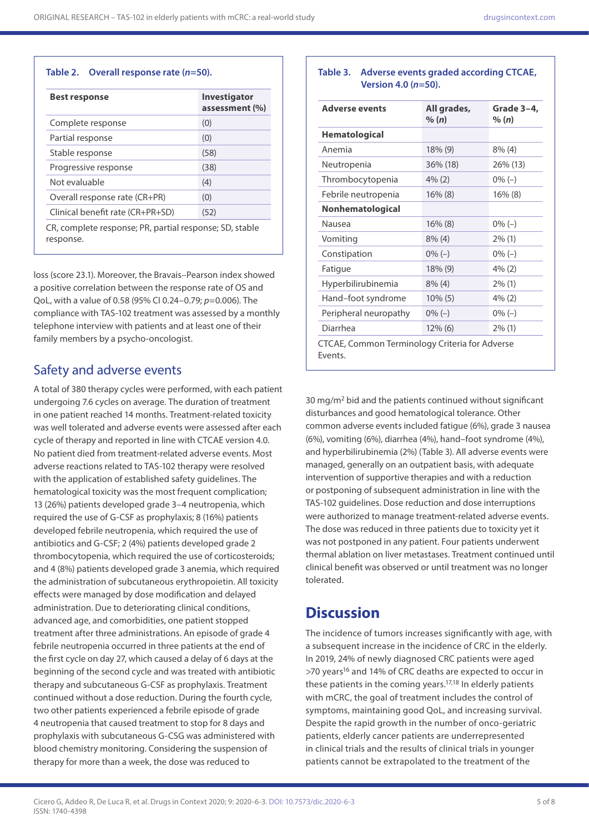#### **Table 2. Overall response rate (***n***=50).**

| <b>Best response</b>                                    | <b>Investigator</b><br>assessment (%) |
|---------------------------------------------------------|---------------------------------------|
| Complete response                                       | (0)                                   |
| Partial response                                        | (0)                                   |
| Stable response                                         | (58)                                  |
| Progressive response                                    | (38)                                  |
| Not evaluable                                           | (4)                                   |
| Overall response rate (CR+PR)                           | (0)                                   |
| Clinical benefit rate (CR+PR+SD)                        | (52)                                  |
| CR, complete response; PR, partial response; SD, stable |                                       |

response.

loss (score 23.1). Moreover, the Bravais–Pearson index showed a positive correlation between the response rate of OS and QoL, with a value of 0.58 (95% CI 0.24–0.79; *p*=0.006). The compliance with TAS-102 treatment was assessed by a monthly telephone interview with patients and at least one of their family members by a psycho-oncologist.

### Safety and adverse events

A total of 380 therapy cycles were performed, with each patient undergoing 7.6 cycles on average. The duration of treatment in one patient reached 14 months. Treatment-related toxicity was well tolerated and adverse events were assessed after each cycle of therapy and reported in line with CTCAE version 4.0. No patient died from treatment-related adverse events. Most adverse reactions related to TAS-102 therapy were resolved with the application of established safety guidelines. The hematological toxicity was the most frequent complication; 13 (26%) patients developed grade 3–4 neutropenia, which required the use of G-CSF as prophylaxis; 8 (16%) patients developed febrile neutropenia, which required the use of antibiotics and G-CSF; 2 (4%) patients developed grade 2 thrombocytopenia, which required the use of corticosteroids; and 4 (8%) patients developed grade 3 anemia, which required the administration of subcutaneous erythropoietin. All toxicity effects were managed by dose modification and delayed administration. Due to deteriorating clinical conditions, advanced age, and comorbidities, one patient stopped treatment after three administrations. An episode of grade 4 febrile neutropenia occurred in three patients at the end of the first cycle on day 27, which caused a delay of 6 days at the beginning of the second cycle and was treated with antibiotic therapy and subcutaneous G-CSF as prophylaxis. Treatment continued without a dose reduction. During the fourth cycle, two other patients experienced a febrile episode of grade 4 neutropenia that caused treatment to stop for 8 days and prophylaxis with subcutaneous G-CSG was administered with blood chemistry monitoring. Considering the suspension of therapy for more than a week, the dose was reduced to

### **Table 3. Adverse events graded according CTCAE, Version 4.0 (***n***=50).**

| <b>Adverse events</b>   | All grades,<br>% (n) | Grade 3-4,<br>% (n) |
|-------------------------|----------------------|---------------------|
| <b>Hematological</b>    |                      |                     |
| Anemia                  | $18\%$ (9)           | $8\%$ (4)           |
| Neutropenia             | $36\%$ (18)          | 26% (13)            |
| Thrombocytopenia        | $4\%$ (2)            | $0\% (-)$           |
| Febrile neutropenia     | $16\%$ (8)           | $16\%$ (8)          |
| <b>Nonhematological</b> |                      |                     |
| Nausea                  | $16\%$ (8)           | $0\% (-)$           |
| Vomiting                | $8\%$ (4)            | $2\%$ (1)           |
| Constipation            | $0\% (-)$            | $0\% (-)$           |
| Fatigue                 | 18% (9)              | $4\%$ (2)           |
| Hyperbilirubinemia      | $8\%$ (4)            | $2\%$ (1)           |
| Hand-foot syndrome      | $10\%$ (5)           | 4% (2)              |
| Peripheral neuropathy   | $0\% (-)$            | $0\% (-)$           |
| Diarrhea                | $12\%$ (6)           | $2\%$ (1)           |

30 mg/m2 bid and the patients continued without significant disturbances and good hematological tolerance. Other common adverse events included fatigue (6%), grade 3 nausea (6%), vomiting (6%), diarrhea (4%), hand–foot syndrome (4%), and hyperbilirubinemia (2%) (Table 3). All adverse events were managed, generally on an outpatient basis, with adequate intervention of supportive therapies and with a reduction or postponing of subsequent administration in line with the TAS-102 guidelines. Dose reduction and dose interruptions were authorized to manage treatment-related adverse events. The dose was reduced in three patients due to toxicity yet it was not postponed in any patient. Four patients underwent thermal ablation on liver metastases. Treatment continued until clinical benefit was observed or until treatment was no longer tolerated.

# **Discussion**

The incidence of tumors increases significantly with age, with a subsequent increase in the incidence of CRC in the elderly. In 2019, 24% of newly diagnosed CRC patients were aged >70 years<sup>16</sup> and 14% of CRC deaths are expected to occur in these patients in the coming years.17,18 In elderly patients with mCRC, the goal of treatment includes the control of symptoms, maintaining good QoL, and increasing survival. Despite the rapid growth in the number of onco-geriatric patients, elderly cancer patients are underrepresented in clinical trials and the results of clinical trials in younger patients cannot be extrapolated to the treatment of the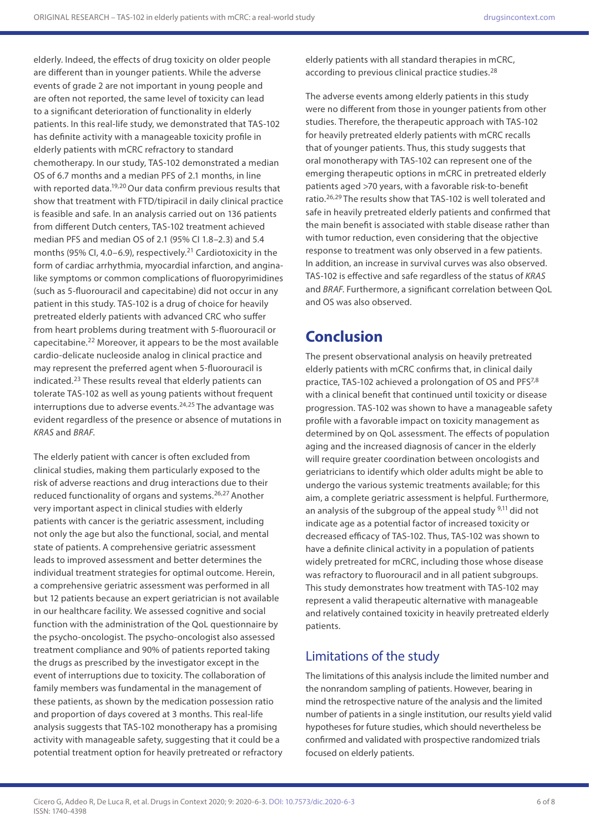elderly. Indeed, the effects of drug toxicity on older people are different than in younger patients. While the adverse events of grade 2 are not important in young people and are often not reported, the same level of toxicity can lead to a significant deterioration of functionality in elderly patients. In this real-life study, we demonstrated that TAS-102 has definite activity with a manageable toxicity profile in elderly patients with mCRC refractory to standard chemotherapy. In our study, TAS-102 demonstrated a median OS of 6.7 months and a median PFS of 2.1 months, in line with reported data.<sup>19,20</sup> Our data confirm previous results that show that treatment with FTD/tipiracil in daily clinical practice is feasible and safe. In an analysis carried out on 136 patients from different Dutch centers, TAS-102 treatment achieved median PFS and median OS of 2.1 (95% CI 1.8–2.3) and 5.4 months (95% CI, 4.0–6.9), respectively.<sup>21</sup> Cardiotoxicity in the form of cardiac arrhythmia, myocardial infarction, and anginalike symptoms or common complications of fluoropyrimidines (such as 5-fluorouracil and capecitabine) did not occur in any patient in this study. TAS-102 is a drug of choice for heavily pretreated elderly patients with advanced CRC who suffer from heart problems during treatment with 5-fluorouracil or capecitabine.22 Moreover, it appears to be the most available cardio-delicate nucleoside analog in clinical practice and may represent the preferred agent when 5-fluorouracil is indicated.23 These results reveal that elderly patients can tolerate TAS-102 as well as young patients without frequent interruptions due to adverse events. $24,25$  The advantage was evident regardless of the presence or absence of mutations in *KRAS* and *BRAF*.

The elderly patient with cancer is often excluded from clinical studies, making them particularly exposed to the risk of adverse reactions and drug interactions due to their reduced functionality of organs and systems.26,27 Another very important aspect in clinical studies with elderly patients with cancer is the geriatric assessment, including not only the age but also the functional, social, and mental state of patients. A comprehensive geriatric assessment leads to improved assessment and better determines the individual treatment strategies for optimal outcome. Herein, a comprehensive geriatric assessment was performed in all but 12 patients because an expert geriatrician is not available in our healthcare facility. We assessed cognitive and social function with the administration of the QoL questionnaire by the psycho-oncologist. The psycho-oncologist also assessed treatment compliance and 90% of patients reported taking the drugs as prescribed by the investigator except in the event of interruptions due to toxicity. The collaboration of family members was fundamental in the management of these patients, as shown by the medication possession ratio and proportion of days covered at 3 months. This real-life analysis suggests that TAS-102 monotherapy has a promising activity with manageable safety, suggesting that it could be a potential treatment option for heavily pretreated or refractory

elderly patients with all standard therapies in mCRC, according to previous clinical practice studies.<sup>28</sup>

The adverse events among elderly patients in this study were no different from those in younger patients from other studies. Therefore, the therapeutic approach with TAS-102 for heavily pretreated elderly patients with mCRC recalls that of younger patients. Thus, this study suggests that oral monotherapy with TAS-102 can represent one of the emerging therapeutic options in mCRC in pretreated elderly patients aged >70 years, with a favorable risk-to-benefit ratio.26,29 The results show that TAS-102 is well tolerated and safe in heavily pretreated elderly patients and confirmed that the main benefit is associated with stable disease rather than with tumor reduction, even considering that the objective response to treatment was only observed in a few patients. In addition, an increase in survival curves was also observed. TAS-102 is effective and safe regardless of the status of *KRAS*  and *BRAF*. Furthermore, a significant correlation between QoL and OS was also observed.

# **Conclusion**

The present observational analysis on heavily pretreated elderly patients with mCRC confirms that, in clinical daily practice, TAS-102 achieved a prolongation of OS and PFS7,8 with a clinical benefit that continued until toxicity or disease progression. TAS-102 was shown to have a manageable safety profile with a favorable impact on toxicity management as determined by on QoL assessment. The effects of population aging and the increased diagnosis of cancer in the elderly will require greater coordination between oncologists and geriatricians to identify which older adults might be able to undergo the various systemic treatments available; for this aim, a complete geriatric assessment is helpful. Furthermore, an analysis of the subgroup of the appeal study <sup>9,11</sup> did not indicate age as a potential factor of increased toxicity or decreased efficacy of TAS-102. Thus, TAS-102 was shown to have a definite clinical activity in a population of patients widely pretreated for mCRC, including those whose disease was refractory to fluorouracil and in all patient subgroups. This study demonstrates how treatment with TAS-102 may represent a valid therapeutic alternative with manageable and relatively contained toxicity in heavily pretreated elderly patients.

# Limitations of the study

The limitations of this analysis include the limited number and the nonrandom sampling of patients. However, bearing in mind the retrospective nature of the analysis and the limited number of patients in a single institution, our results yield valid hypotheses for future studies, which should nevertheless be confirmed and validated with prospective randomized trials focused on elderly patients.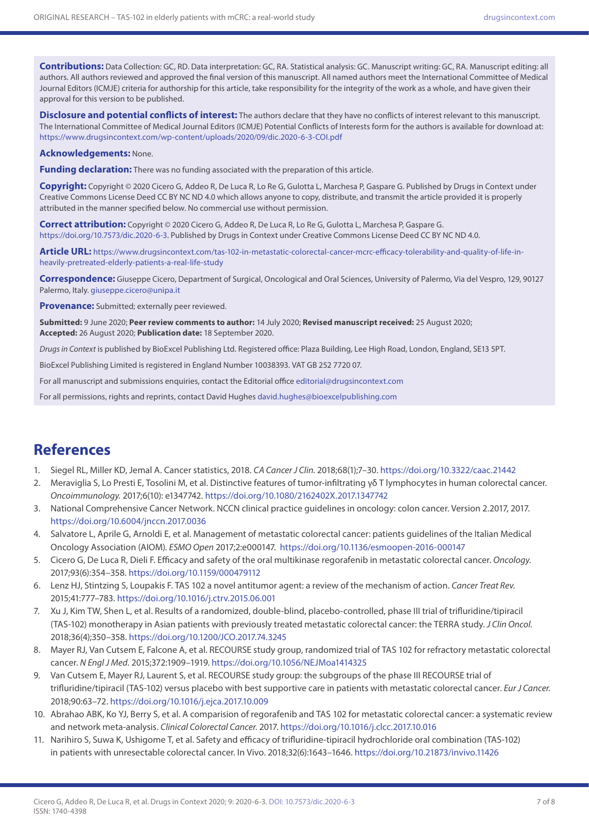**Contributions:** Data Collection: GC, RD. Data interpretation: GC, RA. Statistical analysis: GC. Manuscript writing: GC, RA. Manuscript editing: all authors. All authors reviewed and approved the final version of this manuscript. All named authors meet the International Committee of Medical Journal Editors (ICMJE) criteria for authorship for this article, take responsibility for the integrity of the work as a whole, and have given their approval for this version to be published.

**Disclosure and potential conflicts of interest:** The authors declare that they have no conflicts of interest relevant to this manuscript. The International Committee of Medical Journal Editors (ICMJE) Potential Conflicts of Interests form for the authors is available for download at: <https://www.drugsincontext.com/wp-content/uploads/2020/09/dic.2020-6-3-COI.pdf>

#### **Acknowledgements:** None.

**Funding declaration:** There was no funding associated with the preparation of this article.

**Copyright:** Copyright © 2020 Cicero G, Addeo R, De Luca R, Lo Re G, Gulotta L, Marchesa P, Gaspare G. Published by Drugs in Context under Creative Commons License Deed CC BY NC ND 4.0 which allows anyone to copy, distribute, and transmit the article provided it is properly attributed in the manner specified below. No commercial use without permission.

**Correct attribution:** Copyright © 2020 Cicero G, Addeo R, De Luca R, Lo Re G, Gulotta L, Marchesa P, Gaspare G. <https://doi.org/10.7573/dic.2020-6-3>. Published by Drugs in Context under Creative Commons License Deed CC BY NC ND 4.0.

**Article URL:** [https://www.drugsincontext.com/tas-102-in-metastatic-colorectal-cancer-mcrc-efficacy-tolerability-and-quality-of-life-in](https://www.drugsincontext.com/tas-102-in-metastatic-colorectal-cancer-mcrc-efficacy-tolerability-and-quality-of-life-in-heavily-pretreated-elderly-patients-a-real-life-study)[heavily-pretreated-elderly-patients-a-real-life-study](https://www.drugsincontext.com/tas-102-in-metastatic-colorectal-cancer-mcrc-efficacy-tolerability-and-quality-of-life-in-heavily-pretreated-elderly-patients-a-real-life-study)

**Correspondence:** Giuseppe Cicero, Department of Surgical, Oncological and Oral Sciences, University of Palermo, Via del Vespro, 129, 90127 Palermo, Italy. [giuseppe.cicero@unipa.it](mailto:giuseppe.cicero@unipa.it)

**Provenance:** Submitted; externally peer reviewed.

**Submitted:** 9 June 2020; **Peer review comments to author:** 14 July 2020; **Revised manuscript received:** 25 August 2020; **Accepted:** 26 August 2020; **Publication date:** 18 September 2020.

*Drugs in Context* is published by BioExcel Publishing Ltd. Registered office: Plaza Building, Lee High Road, London, England, SE13 5PT.

BioExcel Publishing Limited is registered in England Number 10038393. VAT GB 252 7720 07.

For all manuscript and submissions enquiries, contact the Editorial office [editorial@drugsincontext.com](mailto:editorial@drugsincontext.com)

For all permissions, rights and reprints, contact David Hughes [david.hughes@bioexcelpublishing.com](mailto:david.hughes@bioexcelpublishing.com)

# **References**

- 1. Siegel RL, Miller KD, Jemal A. Cancer statistics, 2018. *CA Cancer J Clin.* 2018;68(1);7–30. <https://doi.org/10.3322/caac.21442>
- 2. Meraviglia S, Lo Presti E, Tosolini M, et al. Distinctive features of tumor-infiltrating γδ T lymphocytes in human colorectal cancer. *Oncoimmunology.* 2017;6(10): e1347742.<https://doi.org/10.1080/2162402X.2017.1347742>
- 3. National Comprehensive Cancer Network. NCCN clinical practice guidelines in oncology: colon cancer. Version 2.2017, 2017. <https://doi.org/10.6004/jnccn.2017.0036>
- 4. Salvatore L, Aprile G, Arnoldi E, et al. Management of metastatic colorectal cancer: patients guidelines of the Italian Medical Oncology Association (AIOM). *ESMO Open* 2017;2:e000147. <https://doi.org/10.1136/esmoopen-2016-000147>
- 5. Cicero G, De Luca R, Dieli F. Efficacy and safety of the oral multikinase regorafenib in metastatic colorectal cancer. *Oncology.* 2017;93(6):354–358.<https://doi.org/10.1159/000479112>
- 6. Lenz HJ, Stintzing S, Loupakis F. TAS 102 a novel antitumor agent: a review of the mechanism of action. *Cancer Treat Rev*. 2015;41:777–783.<https://doi.org/10.1016/j.ctrv.2015.06.001>
- 7. Xu J, Kim TW, Shen L, et al. Results of a randomized, double-blind, placebo-controlled, phase III trial of trifluridine/tipiracil (TAS-102) monotherapy in Asian patients with previously treated metastatic colorectal cancer: the TERRA study. *J Clin Oncol*. 2018;36(4);350–358.<https://doi.org/10.1200/JCO.2017.74.3245>
- 8. Mayer RJ, Van Cutsem E, Falcone A*,* et al. RECOURSE study group, randomized trial of TAS 102 for refractory metastatic colorectal cancer. *N Engl J Med.* 2015;372:1909–1919.<https://doi.org/10.1056/NEJMoa1414325>
- 9. Van Cutsem E, Mayer RJ, Laurent S, et al. RECOURSE study group: the subgroups of the phase III RECOURSE trial of trifluridine/tipiracil (TAS-102) versus placebo with best supportive care in patients with metastatic colorectal cancer. *Eur J Cancer.* 2018;90:63–72.<https://doi.org/10.1016/j.ejca.2017.10.009>
- 10. Abrahao ABK, Ko YJ, Berry S, et al. A comparision of regorafenib and TAS 102 for metastatic colorectal cancer: a systematic review and network meta-analysis. *Clinical Colorectal Cancer*. 2017. <https://doi.org/10.1016/j.clcc.2017.10.016>
- 11. Narihiro S, Suwa K, Ushigome T, et al. Safety and efficacy of trifluridine-tipiracil hydrochloride oral combination (TAS-102) in patients with unresectable colorectal cancer. In Vivo. 2018;32(6):1643–1646. <https://doi.org/10.21873/invivo.11426>